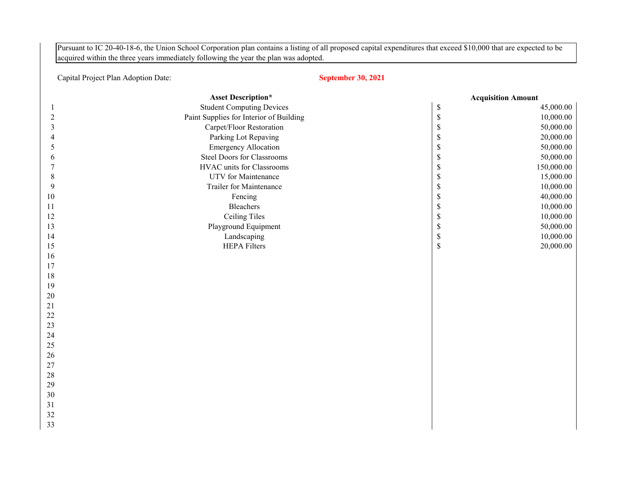Pursuant to IC 20-40-18-6, the Union School Corporation plan contains a listing of all proposed capital expenditures that exceed \$10,000 that are expected to be acquired within the three years immediately following the year the plan was adopted.

## Capital Project Plan Adoption Date:

## **September 30, 2021**

|                | <b>Asset Description*</b>               |             | <b>Acquisition Amount</b> |
|----------------|-----------------------------------------|-------------|---------------------------|
|                | <b>Student Computing Devices</b>        | $\$$        | 45,000.00                 |
| $\overline{2}$ | Paint Supplies for Interior of Building | $\mathbb S$ | 10,000.00                 |
| 3              | Carpet/Floor Restoration                | $\mathbb S$ | 50,000.00                 |
| 4              | Parking Lot Repaving                    | $\$$        | 20,000.00                 |
| 5              | <b>Emergency Allocation</b>             | $\$$        | 50,000.00                 |
| 6              | <b>Steel Doors for Classrooms</b>       | $\mathbb S$ | 50,000.00                 |
| 7              | HVAC units for Classrooms               | $\mathbb S$ | 150,000.00                |
| $8\,$          | UTV for Maintenance                     | $\mathbb S$ | 15,000.00                 |
| 9              | Trailer for Maintenance                 | $\mathbb S$ | 10,000.00                 |
| 10             | Fencing                                 | $\$$        | 40,000.00                 |
| 11             | <b>Bleachers</b>                        | $\mathbb S$ | 10,000.00                 |
| 12             | Ceiling Tiles                           | $\mathbb S$ | 10,000.00                 |
| 13             | Playground Equipment                    | $\mathbb S$ | 50,000.00                 |
| 14             | Landscaping                             | $\mathbb S$ | 10,000.00                 |
| 15             | <b>HEPA Filters</b>                     | $\mathbb S$ | 20,000.00                 |
| 16             |                                         |             |                           |
| 17             |                                         |             |                           |
| 18             |                                         |             |                           |
| 19             |                                         |             |                           |
| 20             |                                         |             |                           |
| 21             |                                         |             |                           |
| 22             |                                         |             |                           |
| 23             |                                         |             |                           |
| 24             |                                         |             |                           |
| 25             |                                         |             |                           |
| 26             |                                         |             |                           |
| 27             |                                         |             |                           |
| $28\,$         |                                         |             |                           |
| 29             |                                         |             |                           |
| 30             |                                         |             |                           |
| 31             |                                         |             |                           |
| 32             |                                         |             |                           |
| 33             |                                         |             |                           |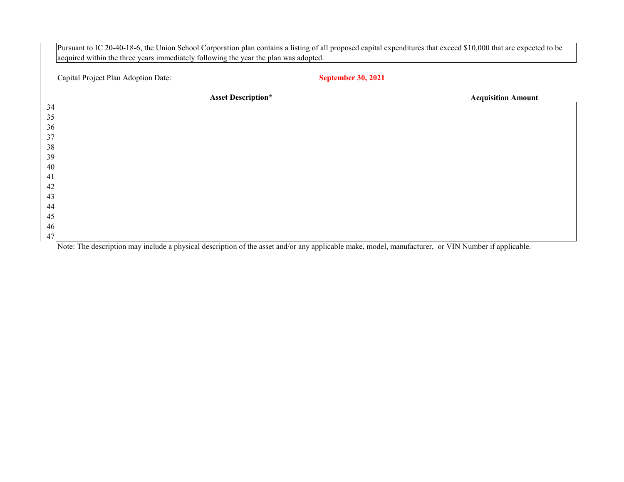| Capital Project Plan Adoption Date: | <b>September 30, 2021</b> |                           |
|-------------------------------------|---------------------------|---------------------------|
| <b>Asset Description*</b>           |                           | <b>Acquisition Amount</b> |
|                                     |                           |                           |
|                                     |                           |                           |
|                                     |                           |                           |
|                                     |                           |                           |
|                                     |                           |                           |
|                                     |                           |                           |
|                                     |                           |                           |
|                                     |                           |                           |
|                                     |                           |                           |
|                                     |                           |                           |
|                                     |                           |                           |
|                                     |                           |                           |
|                                     |                           |                           |
|                                     |                           |                           |

Note: The description may include a physical description of the asset and/or any applicable make, model, manufacturer, or VIN Number if applicable.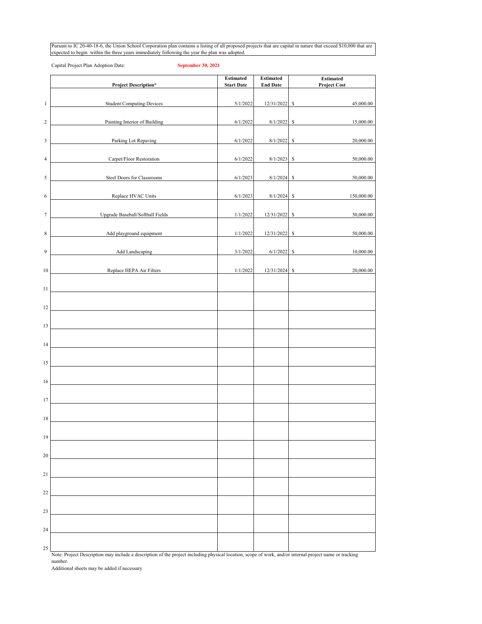Pursant to IC 20-40-18-6, the Union School Corporation plan contains a listing of all proposed projects that are capital in nature that exceed \$10,000 that are expected to begin within the three years immediately following the year the plan was adopted.

Capital Project Plan Adoption Date: **September 30, 2021**

|                | <b>Project Description*</b>      | <b>Estimated</b><br><b>Start Date</b> | <b>Estimated</b><br><b>End Date</b> | Estimated<br><b>Project Cost</b> |
|----------------|----------------------------------|---------------------------------------|-------------------------------------|----------------------------------|
| $\mathbf{1}$   | <b>Student Computing Devices</b> | 5/1/2022                              | 12/31/2022                          | 45,000.00<br>\$                  |
| $\overline{c}$ | Painting Interior of Building    | 6/1/2022                              | 8/1/2022                            | \$<br>15,000.00                  |
| 3              | Parking Lot Repaving             | 6/1/2022                              | 8/1/2022                            | $\mathbb{S}$<br>20,000.00        |
| $\overline{4}$ | Carpet/Floor Restoration         | 6/1/2022                              | 8/1/2023                            | $\mathbb{S}$<br>50,000.00        |
| 5              | Steel Doors for Classrooms       | 6/1/2023                              | 8/1/2024                            | \$<br>50,000.00                  |
| 6              | Replace HVAC Units               | 6/1/2023                              | 8/1/2024                            | \$<br>150,000.00                 |
| $\tau$         | Upgrade Baseball/Softball Fields | 1/1/2022                              | 12/31/2022                          | 50,000.00<br>\$                  |
|                |                                  |                                       |                                     |                                  |
| $\,$ 8 $\,$    | Add playground equipment         | 1/1/2022                              | 12/31/2022                          | \$<br>50,000.00                  |
| 9              | Add Landscaping                  | 3/1/2022                              | 6/1/2022                            | \$<br>10,000.00                  |
| 10             | Replace HEPA Air Filters         | 1/1/2022                              | 12/31/2024                          | 20,000.00<br>$\mathbb{S}$        |
| 11             |                                  |                                       |                                     |                                  |
| 12             |                                  |                                       |                                     |                                  |
| 13             |                                  |                                       |                                     |                                  |
| 14             |                                  |                                       |                                     |                                  |
| 15             |                                  |                                       |                                     |                                  |
| 16             |                                  |                                       |                                     |                                  |
| 17             |                                  |                                       |                                     |                                  |
| 18             |                                  |                                       |                                     |                                  |
| 19             |                                  |                                       |                                     |                                  |
| 20             |                                  |                                       |                                     |                                  |
| 21             |                                  |                                       |                                     |                                  |
| 22             |                                  |                                       |                                     |                                  |
| 23             |                                  |                                       |                                     |                                  |
| 24             |                                  |                                       |                                     |                                  |
| 25             |                                  |                                       |                                     |                                  |

Note: Project Description may include a description of the project including physical location, scope of work, and/or internal project name or tracking number.

Additional sheets may be added if necessary